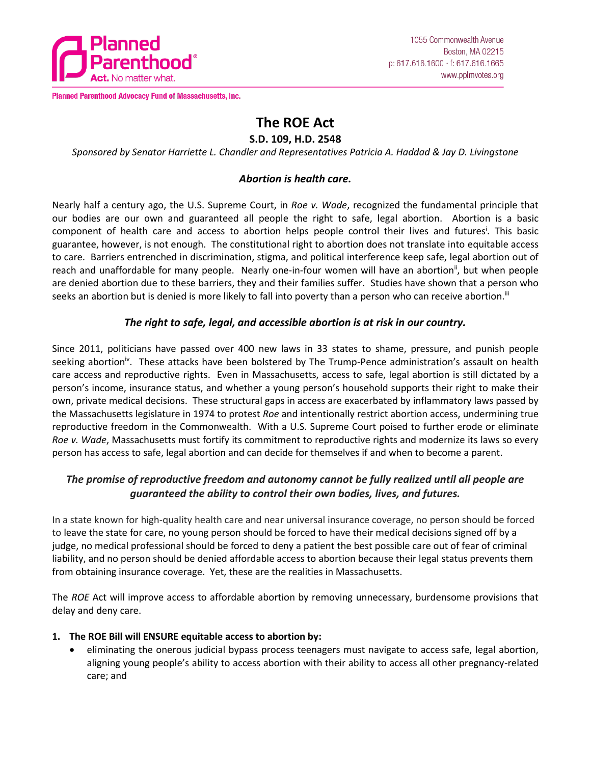

Planned Parenthood Advocacy Fund of Massachusetts, Inc.

# **The ROE Act**

#### **S.D. 109, H.D. 2548**

*Sponsored by Senator Harriette L. Chandler and Representatives Patricia A. Haddad & Jay D. Livingstone*

## *Abortion is health care.*

Nearly half a century ago, the U.S. Supreme Court, in *Roe v. Wade*, recognized the fundamental principle that our bodies are our own and guaranteed all people the right to safe, legal abortion. Abortion is a basic component of health care and access to abortion helps people control their lives and futures<sup>i</sup>. This basic guarantee, however, is not enough. The constitutional right to abortion does not translate into equitable access to care. Barriers entrenched in discrimination, stigma, and political interference keep safe, legal abortion out of reach and unaffordable for many people. Nearly one-in-four women will have an abortion<sup>ii</sup>, but when people are denied abortion due to these barriers, they and their families suffer. Studies have shown that a person who seeks an abortion but is denied is more likely to fall into poverty than a person who can receive abortion.<sup>iii</sup>

## *The right to safe, legal, and accessible abortion is at risk in our country.*

Since 2011, politicians have passed over 400 new laws in 33 states to shame, pressure, and punish people seeking abortion<sup>iv</sup>. These attacks have been bolstered by The Trump-Pence administration's assault on health care access and reproductive rights. Even in Massachusetts, access to safe, legal abortion is still dictated by a person's income, insurance status, and whether a young person's household supports their right to make their own, private medical decisions. These structural gaps in access are exacerbated by inflammatory laws passed by the Massachusetts legislature in 1974 to protest *Roe* and intentionally restrict abortion access, undermining true reproductive freedom in the Commonwealth. With a U.S. Supreme Court poised to further erode or eliminate *Roe v. Wade*, Massachusetts must fortify its commitment to reproductive rights and modernize its laws so every person has access to safe, legal abortion and can decide for themselves if and when to become a parent.

## *The promise of reproductive freedom and autonomy cannot be fully realized until all people are guaranteed the ability to control their own bodies, lives, and futures.*

In a state known for high-quality health care and near universal insurance coverage, no person should be forced to leave the state for care, no young person should be forced to have their medical decisions signed off by a judge, no medical professional should be forced to deny a patient the best possible care out of fear of criminal liability, and no person should be denied affordable access to abortion because their legal status prevents them from obtaining insurance coverage. Yet, these are the realities in Massachusetts.

The *ROE* Act will improve access to affordable abortion by removing unnecessary, burdensome provisions that delay and deny care.

#### **1. The ROE Bill will ENSURE equitable access to abortion by:**

 eliminating the onerous judicial bypass process teenagers must navigate to access safe, legal abortion, aligning young people's ability to access abortion with their ability to access all other pregnancy-related care; and